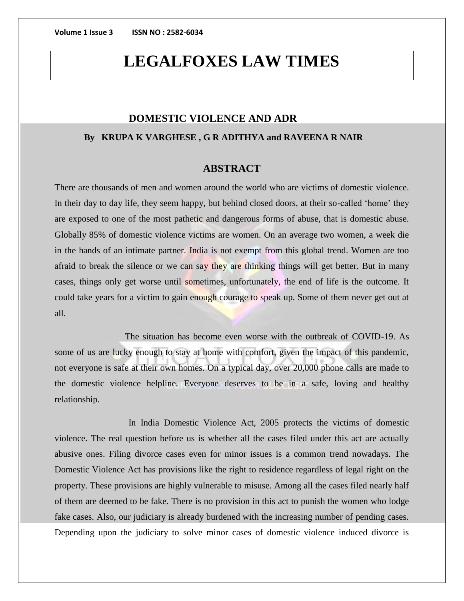# **LEGALFOXES LAW TIMES**

## **DOMESTIC VIOLENCE AND ADR**

## **By KRUPA K VARGHESE , G R ADITHYA and RAVEENA R NAIR**

## **ABSTRACT**

There are thousands of men and women around the world who are victims of domestic violence. In their day to day life, they seem happy, but behind closed doors, at their so-called 'home' they are exposed to one of the most pathetic and dangerous forms of abuse, that is domestic abuse. Globally 85% of domestic violence victims are women. On an average two women, a week die in the hands of an intimate partner. India is not exempt from this global trend. Women are too afraid to break the silence or we can say they are thinking things will get better. But in many cases, things only get worse until sometimes, unfortunately, the end of life is the outcome. It could take years for a victim to gain enough courage to speak up. Some of them never get out at all.

 The situation has become even worse with the outbreak of COVID-19. As some of us are lucky enough to stay at home with comfort, given the impact of this pandemic, not everyone is safe at their own homes. On a typical day, over 20,000 phone calls are made to the domestic violence helpline. Everyone deserves to be in a safe, loving and healthy relationship.

In India Domestic Violence Act, 2005 protects the victims of domestic violence. The real question before us is whether all the cases filed under this act are actually abusive ones. Filing divorce cases even for minor issues is a common trend nowadays. The Domestic Violence Act has provisions like the right to residence regardless of legal right on the property. These provisions are highly vulnerable to misuse. Among all the cases filed nearly half of them are deemed to be fake. There is no provision in this act to punish the women who lodge fake cases. Also, our judiciary is already burdened with the increasing number of pending cases. Depending upon the judiciary to solve minor cases of domestic violence induced divorce is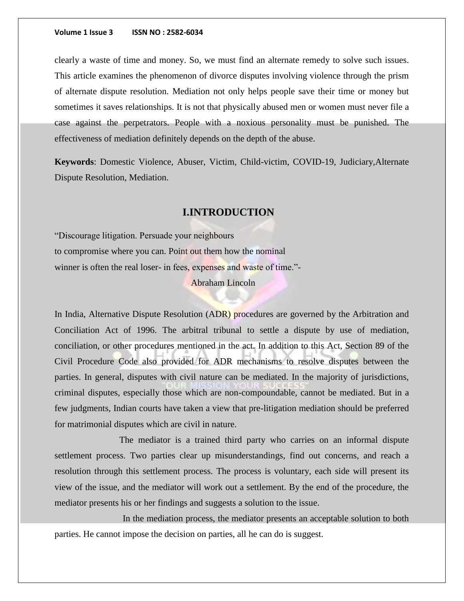clearly a waste of time and money. So, we must find an alternate remedy to solve such issues. This article examines the phenomenon of divorce disputes involving violence through the prism of alternate dispute resolution. Mediation not only helps people save their time or money but sometimes it saves relationships. It is not that physically abused men or women must never file a case against the perpetrators. People with a noxious personality must be punished. The effectiveness of mediation definitely depends on the depth of the abuse.

**Keywords**: Domestic Violence, Abuser, Victim, Child-victim, COVID-19, Judiciary,Alternate Dispute Resolution, Mediation.

## **I.INTRODUCTION**

"Discourage litigation. Persuade your neighbours to compromise where you can. Point out them how the nominal winner is often the real loser- in fees, expenses and waste of time."-

## Abraham Lincoln

In India, Alternative Dispute Resolution (ADR) procedures are governed by the Arbitration and Conciliation Act of 1996. The arbitral tribunal to settle a dispute by use of mediation, conciliation, or other procedures mentioned in the act. In addition to this Act, Section 89 of the Civil Procedure Code also provided for ADR mechanisms to resolve disputes between the parties. In general, disputes with civil nature can be mediated. In the majority of jurisdictions, criminal disputes, especially those which are non-compoundable, cannot be mediated. But in a few judgments, Indian courts have taken a view that pre-litigation mediation should be preferred for matrimonial disputes which are civil in nature.

The mediator is a trained third party who carries on an informal dispute settlement process. Two parties clear up misunderstandings, find out concerns, and reach a resolution through this settlement process. The process is voluntary, each side will present its view of the issue, and the mediator will work out a settlement. By the end of the procedure, the mediator presents his or her findings and suggests a solution to the issue.

In the mediation process, the mediator presents an acceptable solution to both parties. He cannot impose the decision on parties, all he can do is suggest.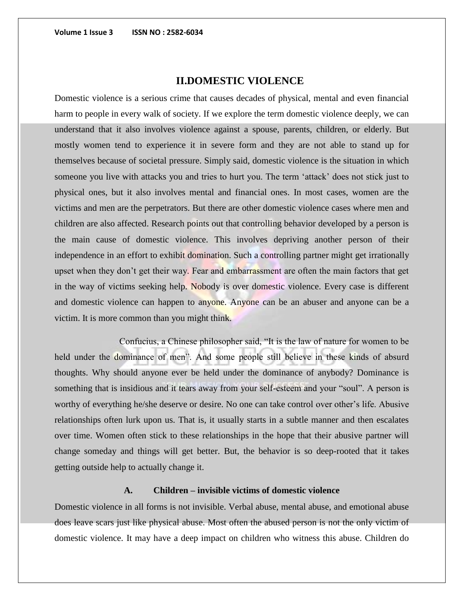# **II.DOMESTIC VIOLENCE**

Domestic violence is a serious crime that causes decades of physical, mental and even financial harm to people in every walk of society. If we explore the term domestic violence deeply, we can understand that it also involves violence against a spouse, parents, children, or elderly. But mostly women tend to experience it in severe form and they are not able to stand up for themselves because of societal pressure. Simply said, domestic violence is the situation in which someone you live with attacks you and tries to hurt you. The term 'attack' does not stick just to physical ones, but it also involves mental and financial ones. In most cases, women are the victims and men are the perpetrators. But there are other domestic violence cases where men and children are also affected. Research points out that controlling behavior developed by a person is the main cause of domestic violence. This involves depriving another person of their independence in an effort to exhibit domination. Such a controlling partner might get irrationally upset when they don't get their way. Fear and embarrassment are often the main factors that get in the way of victims seeking help. Nobody is over domestic violence. Every case is different and domestic violence can happen to anyone. Anyone can be an abuser and anyone can be a victim. It is more common than you might think.

Confucius, a Chinese philosopher said, "It is the law of nature for women to be held under the dominance of men". And some people still believe in these kinds of absurd thoughts. Why should anyone ever be held under the dominance of anybody? Dominance is something that is insidious and it tears away from your self-esteem and your "soul". A person is worthy of everything he/she deserve or desire. No one can take control over other's life. Abusive relationships often lurk upon us. That is, it usually starts in a subtle manner and then escalates over time. Women often stick to these relationships in the hope that their abusive partner will change someday and things will get better. But, the behavior is so deep-rooted that it takes getting outside help to actually change it.

## **A. Children – invisible victims of domestic violence**

Domestic violence in all forms is not invisible. Verbal abuse, mental abuse, and emotional abuse does leave scars just like physical abuse. Most often the abused person is not the only victim of domestic violence. It may have a deep impact on children who witness this abuse. Children do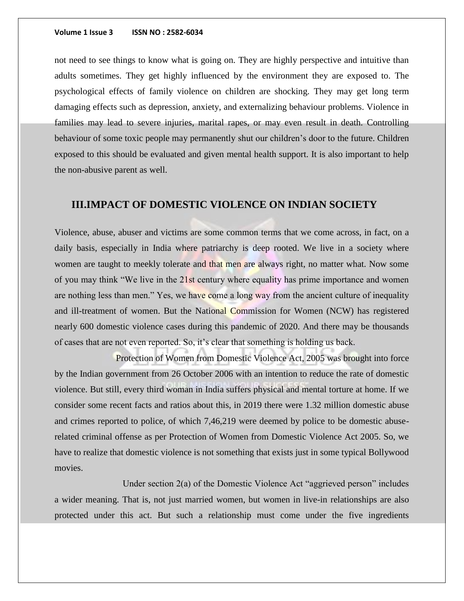not need to see things to know what is going on. They are highly perspective and intuitive than adults sometimes. They get highly influenced by the environment they are exposed to. The psychological effects of family violence on children are shocking. They may get long term damaging effects such as depression, anxiety, and externalizing behaviour problems. Violence in families may lead to severe injuries, marital rapes, or may even result in death. Controlling behaviour of some toxic people may permanently shut our children's door to the future. Children exposed to this should be evaluated and given mental health support. It is also important to help the non-abusive parent as well.

## **III.IMPACT OF DOMESTIC VIOLENCE ON INDIAN SOCIETY**

Violence, abuse, abuser and victims are some common terms that we come across, in fact, on a daily basis, especially in India where patriarchy is deep rooted. We live in a society where women are taught to meekly tolerate and that men are always right, no matter what. Now some of you may think "We live in the 21st century where equality has prime importance and women are nothing less than men." Yes, we have come a long way from the ancient culture of inequality and ill-treatment of women. But the National Commission for Women (NCW) has registered nearly 600 domestic violence cases during this pandemic of 2020. And there may be thousands of cases that are not even reported. So, it's clear that something is holding us back.

 Protection of Women from Domestic Violence Act, 2005 was brought into force by the Indian government from 26 October 2006 with an intention to reduce the rate of domestic violence. But still, every third woman in India suffers physical and mental torture at home. If we consider some recent facts and ratios about this, in 2019 there were 1.32 million domestic abuse and crimes reported to police, of which 7,46,219 were deemed by police to be domestic abuserelated criminal offense as per Protection of Women from Domestic Violence Act 2005. So, we have to realize that domestic violence is not something that exists just in some typical Bollywood movies.

 Under section 2(a) of the Domestic Violence Act "aggrieved person" includes a wider meaning. That is, not just married women, but women in live-in relationships are also protected under this act. But such a relationship must come under the five ingredients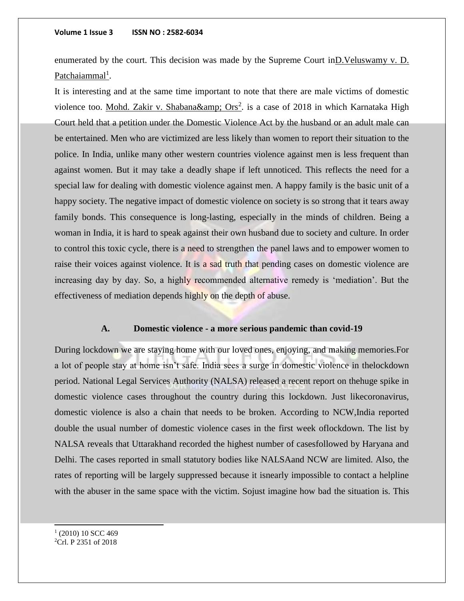enumerated by the court. This decision was made by the Supreme Court inD.Veluswamy v. D. Patchaiammal<sup>1</sup>.

It is interesting and at the same time important to note that there are male victims of domestic violence too. Mohd. Zakir v. Shabana& amp;  $Ors^2$  is a case of 2018 in which Karnataka High Court held that a petition under the Domestic Violence Act by the husband or an adult male can be entertained. Men who are victimized are less likely than women to report their situation to the police. In India, unlike many other western countries violence against men is less frequent than against women. But it may take a deadly shape if left unnoticed. This reflects the need for a special law for dealing with domestic violence against men. A happy family is the basic unit of a happy society. The negative impact of domestic violence on society is so strong that it tears away family bonds. This consequence is long-lasting, especially in the minds of children. Being a woman in India, it is hard to speak against their own husband due to society and culture. In order to control this toxic cycle, there is a need to strengthen the panel laws and to empower women to raise their voices against violence. It is a sad truth that pending cases on domestic violence are increasing day by day. So, a highly recommended alternative remedy is 'mediation'. But the effectiveness of mediation depends highly on the depth of abuse.

### **A. Domestic violence - a more serious pandemic than covid-19**

During lockdown we are staying home with our loved ones, enjoying, and making memories.For a lot of people stay at home isn't safe. India sees a surge in domestic violence in thelockdown period. National Legal Services Authority (NALSA) released a recent report on thehuge spike in domestic violence cases throughout the country during this lockdown. Just likecoronavirus, domestic violence is also a chain that needs to be broken. According to NCW,India reported double the usual number of domestic violence cases in the first week oflockdown. The list by NALSA reveals that Uttarakhand recorded the highest number of casesfollowed by Haryana and Delhi. The cases reported in small statutory bodies like NALSAand NCW are limited. Also, the rates of reporting will be largely suppressed because it isnearly impossible to contact a helpline with the abuser in the same space with the victim. Sojust imagine how bad the situation is. This

 $(2010) 10$  SCC 469 2Crl. P 2351 of 2018

j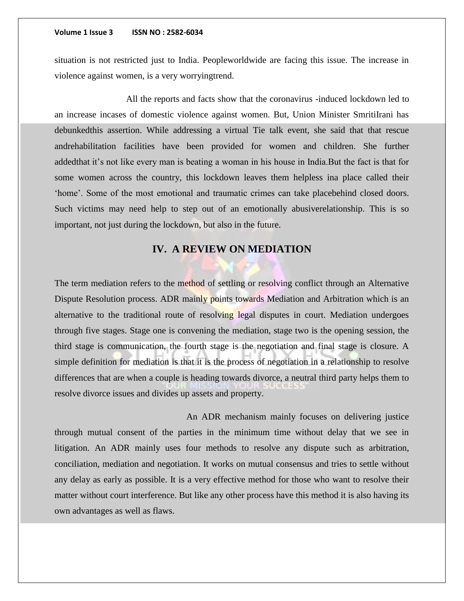situation is not restricted just to India. Peopleworldwide are facing this issue. The increase in violence against women, is a very worryingtrend.

All the reports and facts show that the coronavirus -induced lockdown led to an increase incases of domestic violence against women. But, Union Minister SmritiIrani has debunkedthis assertion. While addressing a virtual Tie talk event, she said that that rescue andrehabilitation facilities have been provided for women and children. She further addedthat it's not like every man is beating a woman in his house in India.But the fact is that for some women across the country, this lockdown leaves them helpless ina place called their 'home'. Some of the most emotional and traumatic crimes can take placebehind closed doors. Such victims may need help to step out of an emotionally abusiverelationship. This is so important, not just during the lockdown, but also in the future.

## **IV. A REVIEW ON MEDIATION**

The term mediation refers to the method of settling or resolving conflict through an Alternative Dispute Resolution process. ADR mainly points towards Mediation and Arbitration which is an alternative to the traditional route of resolving legal disputes in court. Mediation undergoes through five stages. Stage one is convening the mediation, stage two is the opening session, the third stage is communication, the fourth stage is the negotiation and final stage is closure. A simple definition for mediation is that it is the process of negotiation in a relationship to resolve differences that are when a couple is heading towards divorce, a neutral third party helps them to resolve divorce issues and divides up assets and property.

 An ADR mechanism mainly focuses on delivering justice through mutual consent of the parties in the minimum time without delay that we see in litigation. An ADR mainly uses four methods to resolve any dispute such as arbitration, conciliation, mediation and negotiation. It works on mutual consensus and tries to settle without any delay as early as possible. It is a very effective method for those who want to resolve their matter without court interference. But like any other process have this method it is also having its own advantages as well as flaws.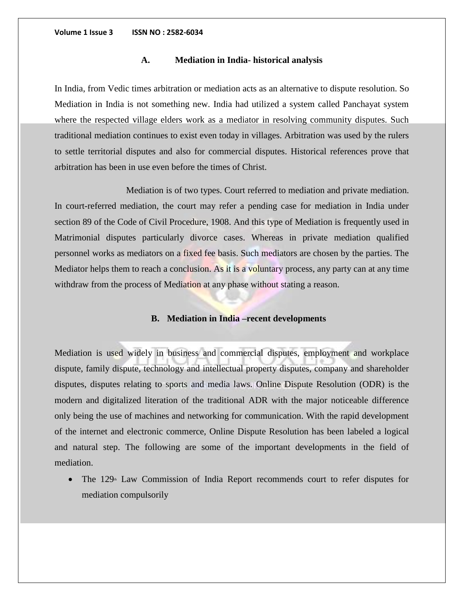## **A. Mediation in India- historical analysis**

In India, from Vedic times arbitration or mediation acts as an alternative to dispute resolution. So Mediation in India is not something new. India had utilized a system called Panchayat system where the respected village elders work as a mediator in resolving community disputes. Such traditional mediation continues to exist even today in villages. Arbitration was used by the rulers to settle territorial disputes and also for commercial disputes. Historical references prove that arbitration has been in use even before the times of Christ.

Mediation is of two types. Court referred to mediation and private mediation. In court-referred mediation, the court may refer a pending case for mediation in India under section 89 of the Code of Civil Procedure, 1908. And this type of Mediation is frequently used in Matrimonial disputes particularly divorce cases. Whereas in private mediation qualified personnel works as mediators on a fixed fee basis. Such mediators are chosen by the parties. The Mediator helps them to reach a conclusion. As it is a voluntary process, any party can at any time withdraw from the process of Mediation at any phase without stating a reason.

## **B. Mediation in India –recent developments**

Mediation is used widely in business and commercial disputes, employment and workplace dispute, family dispute, technology and intellectual property disputes, company and shareholder disputes, disputes relating to sports and media laws. Online Dispute Resolution (ODR) is the modern and digitalized literation of the traditional ADR with the major noticeable difference only being the use of machines and networking for communication. With the rapid development of the internet and electronic commerce, Online Dispute Resolution has been labeled a logical and natural step. The following are some of the important developments in the field of mediation.

The  $129<sup>th</sup>$  Law Commission of India Report recommends court to refer disputes for mediation compulsorily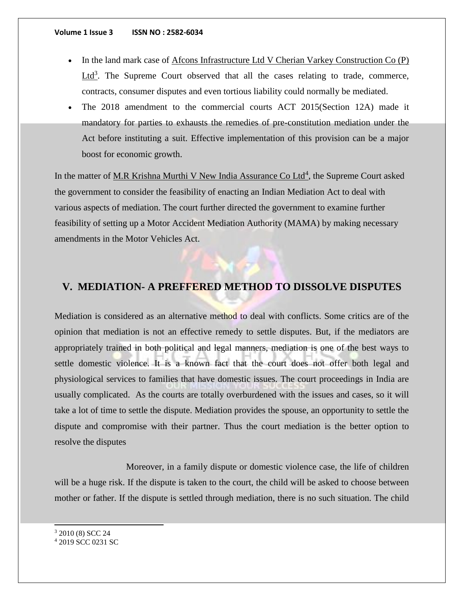- In the land mark case of Afcons Infrastructure Ltd V Cherian Varkey Construction Co (P)  $Ltd<sup>3</sup>$ . The Supreme Court observed that all the cases relating to trade, commerce, contracts, consumer disputes and even tortious liability could normally be mediated.
- The 2018 amendment to the commercial courts ACT 2015(Section 12A) made it mandatory for parties to exhausts the remedies of pre-constitution mediation under the Act before instituting a suit. Effective implementation of this provision can be a major boost for economic growth.

In the matter of M.R Krishna Murthi V New India Assurance Co Ltd<sup>4</sup>, the Supreme Court asked the government to consider the feasibility of enacting an Indian Mediation Act to deal with various aspects of mediation. The court further directed the government to examine further feasibility of setting up a Motor Accident Mediation Authority (MAMA) by making necessary amendments in the Motor Vehicles Act.

## **V. MEDIATION- A PREFFERED METHOD TO DISSOLVE DISPUTES**

Mediation is considered as an alternative method to deal with conflicts. Some critics are of the opinion that mediation is not an effective remedy to settle disputes. But, if the mediators are appropriately trained in both political and legal manners, mediation is one of the best ways to settle domestic violence. It is a known fact that the court does not offer both legal and physiological services to families that have domestic issues. The court proceedings in India are usually complicated. As the courts are totally overburdened with the issues and cases, so it will take a lot of time to settle the dispute. Mediation provides the spouse, an opportunity to settle the dispute and compromise with their partner. Thus the court mediation is the better option to resolve the disputes

Moreover, in a family dispute or domestic violence case, the life of children will be a huge risk. If the dispute is taken to the court, the child will be asked to choose between mother or father. If the dispute is settled through mediation, there is no such situation. The child

<sup>3</sup> 2010 (8) SCC 24

j

<sup>4</sup> 2019 SCC 0231 SC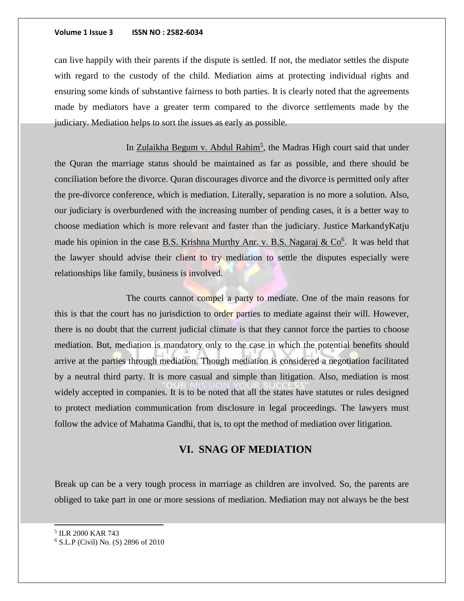can live happily with their parents if the dispute is settled. If not, the mediator settles the dispute with regard to the custody of the child. Mediation aims at protecting individual rights and ensuring some kinds of substantive fairness to both parties. It is clearly noted that the agreements made by mediators have a greater term compared to the divorce settlements made by the judiciary. Mediation helps to sort the issues as early as possible.

In Zulaikha Begum v. Abdul Rahim<sup>5</sup>, the Madras High court said that under the Quran the marriage status should be maintained as far as possible, and there should be conciliation before the divorce. Quran discourages divorce and the divorce is permitted only after the pre-divorce conference, which is mediation. Literally, separation is no more a solution. Also, our judiciary is overburdened with the increasing number of pending cases, it is a better way to choose mediation which is more relevant and faster than the judiciary. Justice MarkandyKatju made his opinion in the case **B.S. Krishna Murthy Anr. v. B.S. Nagaraj & Co**<sup>6</sup>. It was held that the lawyer should advise their client to try mediation to settle the disputes especially were relationships like family, business is involved.

The courts cannot compel a party to mediate. One of the main reasons for this is that the court has no jurisdiction to order parties to mediate against their will. However, there is no doubt that the current judicial climate is that they cannot force the parties to choose mediation. But, mediation is mandatory only to the case in which the potential benefits should arrive at the parties through mediation. Though mediation is considered a negotiation facilitated by a neutral third party. It is more casual and simple than litigation. Also, mediation is most widely accepted in companies. It is to be noted that all the states have statutes or rules designed to protect mediation communication from disclosure in legal proceedings. The lawyers must follow the advice of Mahatma Gandhi, that is, to opt the method of mediation over litigation.

## **VI. SNAG OF MEDIATION**

Break up can be a very tough process in marriage as children are involved. So, the parents are obliged to take part in one or more sessions of mediation. Mediation may not always be the best

5 ILR 2000 KAR 743

j

<sup>6</sup> S.L.P (Civil) No. (S) 2896 of 2010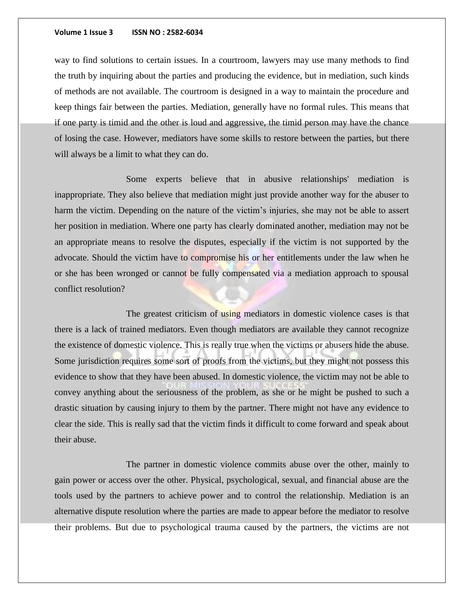way to find solutions to certain issues. In a courtroom, lawyers may use many methods to find the truth by inquiring about the parties and producing the evidence, but in mediation, such kinds of methods are not available. The courtroom is designed in a way to maintain the procedure and keep things fair between the parties. Mediation, generally have no formal rules. This means that if one party is timid and the other is loud and aggressive, the timid person may have the chance of losing the case. However, mediators have some skills to restore between the parties, but there will always be a limit to what they can do.

Some experts believe that in abusive relationships' mediation is inappropriate. They also believe that mediation might just provide another way for the abuser to harm the victim. Depending on the nature of the victim's injuries, she may not be able to assert her position in mediation. Where one party has clearly dominated another, mediation may not be an appropriate means to resolve the disputes, especially if the victim is not supported by the advocate. Should the victim have to compromise his or her entitlements under the law when he or she has been wronged or cannot be fully compensated via a mediation approach to spousal conflict resolution?

The greatest criticism of using mediators in domestic violence cases is that there is a lack of trained mediators. Even though mediators are available they cannot recognize the existence of domestic violence. This is really true when the victims or abusers hide the abuse. Some jurisdiction requires some sort of proofs from the victims, but they might not possess this evidence to show that they have been abused. In domestic violence, the victim may not be able to convey anything about the seriousness of the problem, as she or he might be pushed to such a drastic situation by causing injury to them by the partner. There might not have any evidence to clear the side. This is really sad that the victim finds it difficult to come forward and speak about their abuse.

The partner in domestic violence commits abuse over the other, mainly to gain power or access over the other. Physical, psychological, sexual, and financial abuse are the tools used by the partners to achieve power and to control the relationship. Mediation is an alternative dispute resolution where the parties are made to appear before the mediator to resolve their problems. But due to psychological trauma caused by the partners, the victims are not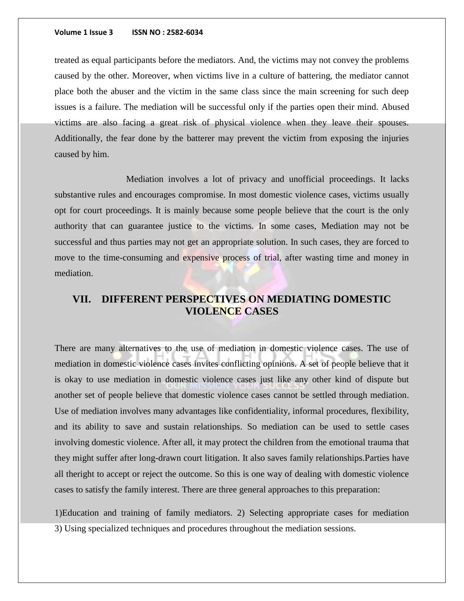treated as equal participants before the mediators. And, the victims may not convey the problems caused by the other. Moreover, when victims live in a culture of battering, the mediator cannot place both the abuser and the victim in the same class since the main screening for such deep issues is a failure. The mediation will be successful only if the parties open their mind. Abused victims are also facing a great risk of physical violence when they leave their spouses. Additionally, the fear done by the batterer may prevent the victim from exposing the injuries caused by him.

Mediation involves a lot of privacy and unofficial proceedings. It lacks substantive rules and encourages compromise. In most domestic violence cases, victims usually opt for court proceedings. It is mainly because some people believe that the court is the only authority that can guarantee justice to the victims. In some cases, Mediation may not be successful and thus parties may not get an appropriate solution. In such cases, they are forced to move to the time-consuming and expensive process of trial, after wasting time and money in mediation.

# **VII. DIFFERENT PERSPECTIVES ON MEDIATING DOMESTIC VIOLENCE CASES**

There are many alternatives to the use of mediation in domestic violence cases. The use of mediation in domestic violence cases invites conflicting opinions. A set of people believe that it is okay to use mediation in domestic violence cases just like any other kind of dispute but another set of people believe that domestic violence cases cannot be settled through mediation. Use of mediation involves many advantages like confidentiality, informal procedures, flexibility, and its ability to save and sustain relationships. So mediation can be used to settle cases involving domestic violence. After all, it may protect the children from the emotional trauma that they might suffer after long-drawn court litigation. It also saves family relationships.Parties have all theright to accept or reject the outcome. So this is one way of dealing with domestic violence cases to satisfy the family interest. There are three general approaches to this preparation:

1)Education and training of family mediators. 2) Selecting appropriate cases for mediation 3) Using specialized techniques and procedures throughout the mediation sessions.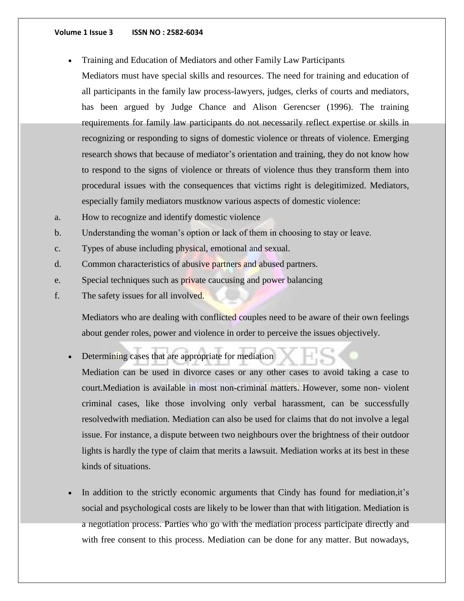Training and Education of Mediators and other Family Law Participants

Mediators must have special skills and resources. The need for training and education of all participants in the family law process-lawyers, judges, clerks of courts and mediators, has been argued by Judge Chance and Alison Gerencser (1996). The training requirements for family law participants do not necessarily reflect expertise or skills in recognizing or responding to signs of domestic violence or threats of violence. Emerging research shows that because of mediator's orientation and training, they do not know how to respond to the signs of violence or threats of violence thus they transform them into procedural issues with the consequences that victims right is delegitimized. Mediators, especially family mediators mustknow various aspects of domestic violence:

- a. How to recognize and identify domestic violence
- b. Understanding the woman's option or lack of them in choosing to stay or leave.
- c. Types of abuse including physical, emotional and sexual.
- d. Common characteristics of abusive partners and abused partners.
- e. Special techniques such as private caucusing and power balancing
- f. The safety issues for all involved.

Mediators who are dealing with conflicted couples need to be aware of their own feelings about gender roles, power and violence in order to perceive the issues objectively.

Determining cases that are appropriate for mediation

Mediation can be used in divorce cases or any other cases to avoid taking a case to court.Mediation is available in most non-criminal matters. However, some non- violent criminal cases, like those involving only verbal harassment, can be successfully resolvedwith mediation. Mediation can also be used for claims that do not involve a legal issue. For instance, a dispute between two neighbours over the brightness of their outdoor lights is hardly the type of claim that merits a lawsuit. Mediation works at its best in these kinds of situations.

 In addition to the strictly economic arguments that Cindy has found for mediation,it's social and psychological costs are likely to be lower than that with litigation. Mediation is a negotiation process. Parties who go with the mediation process participate directly and with free consent to this process. Mediation can be done for any matter. But nowadays,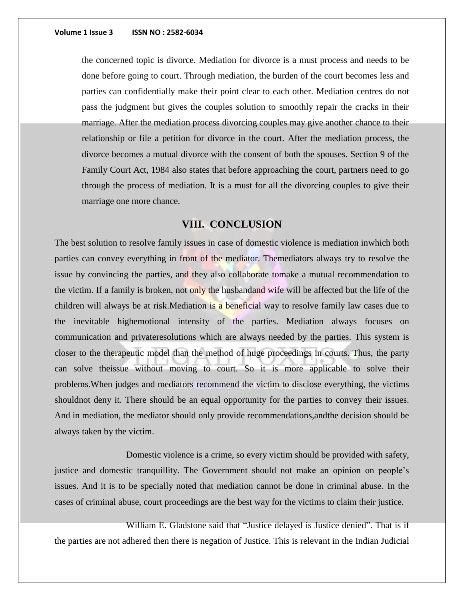the concerned topic is divorce. Mediation for divorce is a must process and needs to be done before going to court. Through mediation, the burden of the court becomes less and parties can confidentially make their point clear to each other. Mediation centres do not pass the judgment but gives the couples solution to smoothly repair the cracks in their marriage. After the mediation process divorcing couples may give another chance to their relationship or file a petition for divorce in the court. After the mediation process, the divorce becomes a mutual divorce with the consent of both the spouses. Section 9 of the Family Court Act, 1984 also states that before approaching the court, partners need to go through the process of mediation. It is a must for all the divorcing couples to give their marriage one more chance.

## **VIII. CONCLUSION**

The best solution to resolve family issues in case of domestic violence is mediation inwhich both parties can convey everything in front of the mediator. Themediators always try to resolve the issue by convincing the parties, and they also collaborate tomake a mutual recommendation to the victim. If a family is broken, not only the husbandand wife will be affected but the life of the children will always be at risk. Mediation is a beneficial way to resolve family law cases due to the inevitable highemotional intensity of the parties. Mediation always focuses on communication and privateresolutions which are always needed by the parties. This system is closer to the therapeutic model than the method of huge proceedings in courts. Thus, the party can solve theissue without moving to court. So it is more applicable to solve their problems.When judges and mediators recommend the victim to disclose everything, the victims shouldnot deny it. There should be an equal opportunity for the parties to convey their issues. And in mediation, the mediator should only provide recommendations,andthe decision should be always taken by the victim.

Domestic violence is a crime, so every victim should be provided with safety, justice and domestic tranquillity. The Government should not make an opinion on people's issues. And it is to be specially noted that mediation cannot be done in criminal abuse. In the cases of criminal abuse, court proceedings are the best way for the victims to claim their justice.

William E. Gladstone said that "Justice delayed is Justice denied". That is if the parties are not adhered then there is negation of Justice. This is relevant in the Indian Judicial